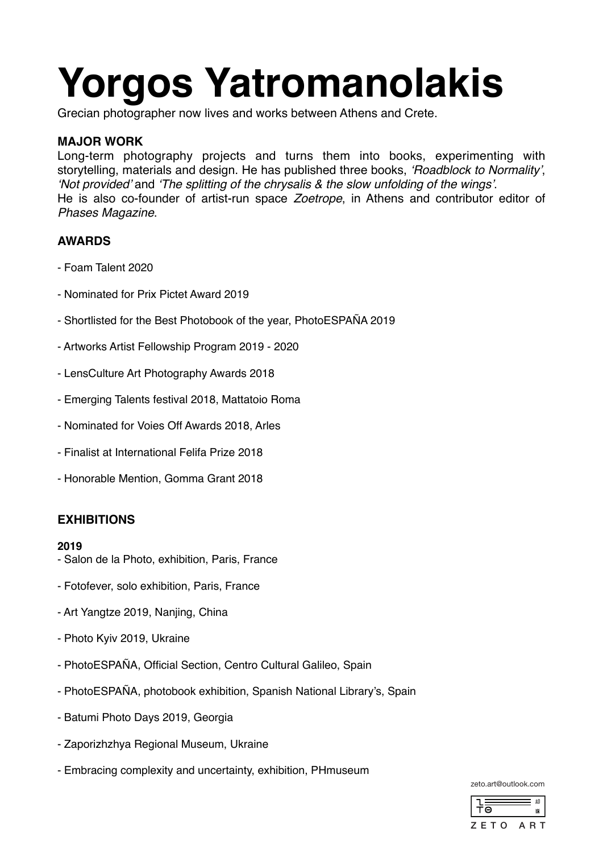# **Yorgos Yatromanolakis**

Grecian photographer now lives and works between Athens and Crete.

# **MAJOR WORK**

Long-term photography projects and turns them into books, experimenting with storytelling, materials and design. He has published three books, *'Roadblock to Normality'*, *'Not provided'* and *'The splitting of the chrysalis & the slow unfolding of the wings'*. He is also co-founder of artist-run space *Zoetrope*, in Athens and contributor editor of *Phases Magazine*.

# **AWARDS**

- Foam Talent 2020
- Nominated for Prix Pictet Award 2019
- Shortlisted for the Best Photobook of the year, PhotoESPAÑA 2019
- Artworks Artist Fellowship Program 2019 2020
- LensCulture Art Photography Awards 2018
- Emerging Talents festival 2018, Mattatoio Roma
- Nominated for Voies Off Awards 2018, Arles
- Finalist at International Felifa Prize 2018
- Honorable Mention, Gomma Grant 2018

# **EXHIBITIONS**

## **2019**

- Salon de la Photo, exhibition, Paris, France
- Fotofever, solo exhibition, Paris, France
- Art Yangtze 2019, Nanjing, China
- Photo Kyiv 2019, Ukraine
- PhotoESPAÑA, Official Section, Centro Cultural Galileo, Spain
- PhotoESPAÑA, photobook exhibition, Spanish National Library's, Spain
- Batumi Photo Days 2019, Georgia
- Zaporizhzhya Regional Museum, Ukraine
- Embracing complexity and uncertainty, exhibition, PHmuseum

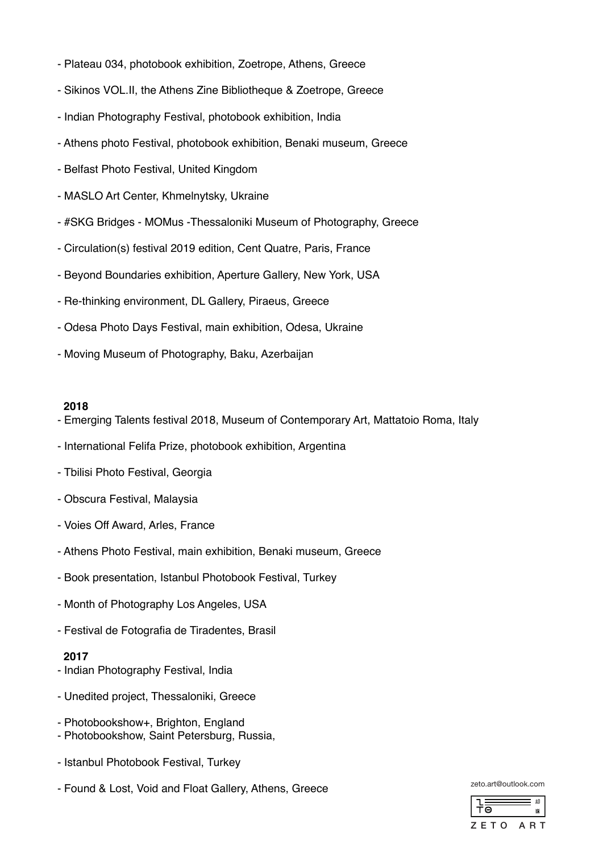- Plateau 034, photobook exhibition, Zoetrope, Athens, Greece
- Sikinos VOL.II, the Athens Zine Bibliotheque & Zoetrope, Greece
- Indian Photography Festival, photobook exhibition, India
- Athens photo Festival, photobook exhibition, Benaki museum, Greece
- Belfast Photo Festival, United Kingdom
- MASLO Art Center, Khmelnytsky, Ukraine
- #SKG Bridges MOMus -Thessaloniki Museum of Photography, Greece
- Circulation(s) festival 2019 edition, Cent Quatre, Paris, France
- Beyond Boundaries exhibition, Aperture Gallery, New York, USA
- Re-thinking environment, DL Gallery, Piraeus, Greece
- Odesa Photo Days Festival, main exhibition, Odesa, Ukraine
- Moving Museum of Photography, Baku, Azerbaijan

#### **2018**

- Emerging Talents festival 2018, Museum of Contemporary Art, Mattatoio Roma, Italy
- International Felifa Prize, photobook exhibition, Argentina
- Tbilisi Photo Festival, Georgia
- Obscura Festival, Malaysia
- Voies Off Award, Arles, France
- Athens Photo Festival, main exhibition, Benaki museum, Greece
- Book presentation, Istanbul Photobook Festival, Turkey
- Month of Photography Los Angeles, USA
- Festival de Fotografia de Tiradentes, Brasil

## **2017**

- Indian Photography Festival, India
- Unedited project, Thessaloniki, Greece
- Photobookshow+, Brighton, England
- Photobookshow, Saint Petersburg, Russia,
- Istanbul Photobook Festival, Turkey
- Found & Lost, Void and Float Gallery, Athens, Greece

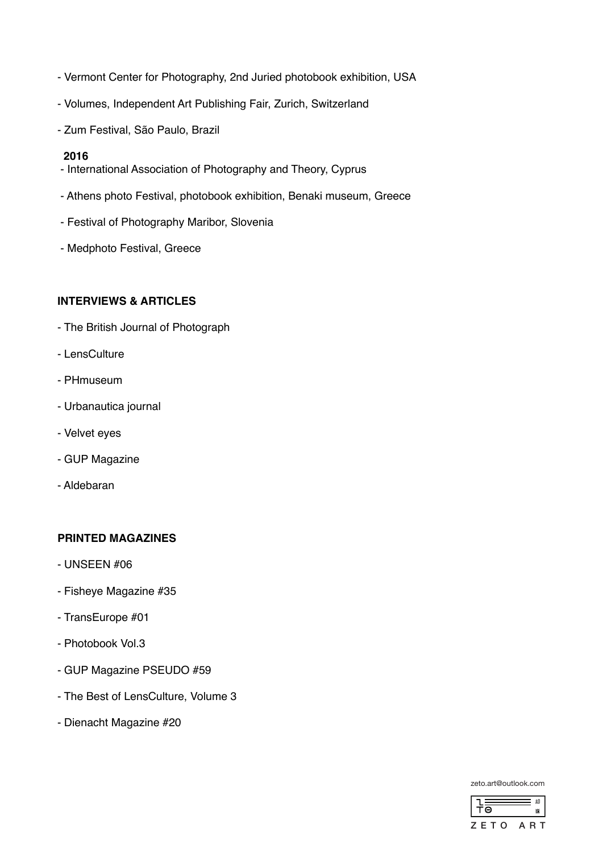- Vermont Center for Photography, 2nd Juried photobook exhibition, USA
- Volumes, Independent Art Publishing Fair, Zurich, Switzerland
- Zum Festival, São Paulo, Brazil

#### **2016**

- International Association of Photography and Theory, Cyprus
- Athens photo Festival, photobook exhibition, Benaki museum, Greece
- Festival of Photography Maribor, Slovenia
- Medphoto Festival, Greece

# **INTERVIEWS & ARTICLES**

- The British Journal of Photograph
- LensCulture
- PHmuseum
- Urbanautica journal
- Velvet eyes
- GUP Magazine
- Aldebaran

## **PRINTED MAGAZINES**

- UNSEEN #06
- Fisheye Magazine #35
- TransEurope #01
- Photobook Vol.3
- GUP Magazine PSEUDO #59
- The Best of LensCulture, Volume 3
- Dienacht Magazine #20